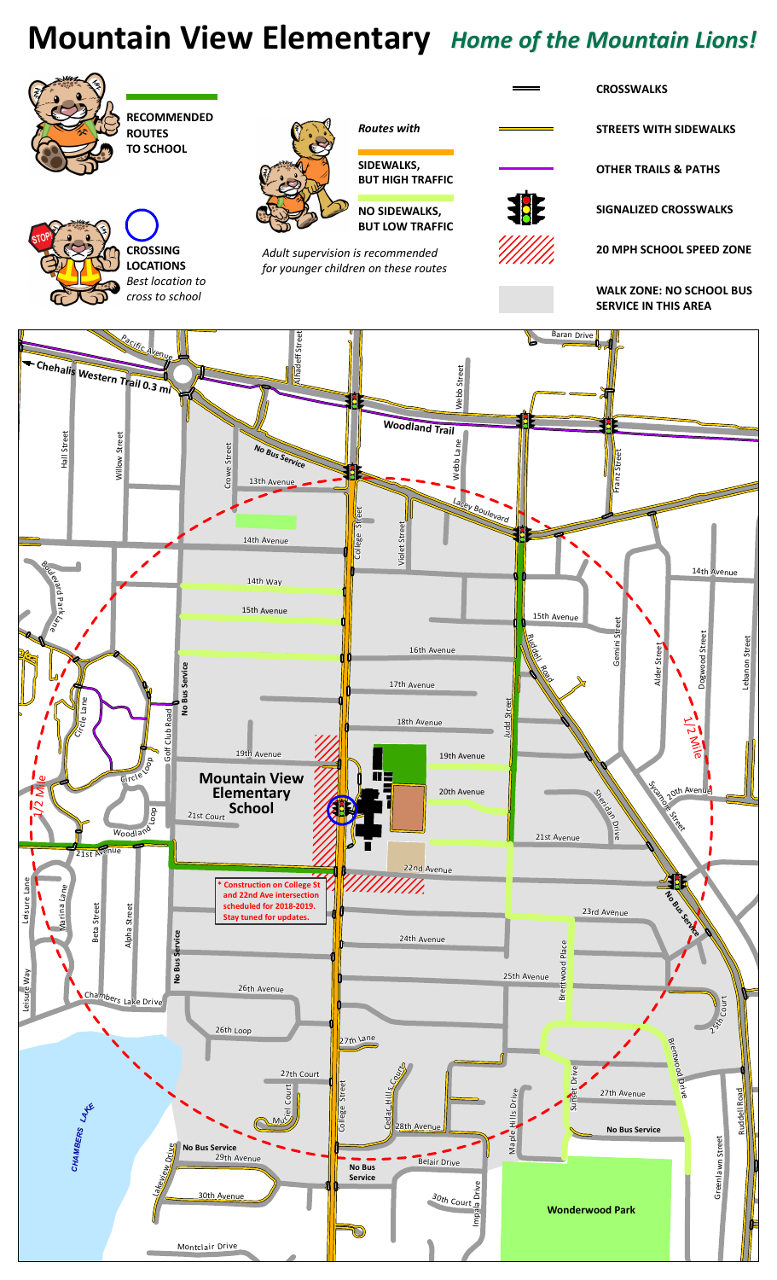## Mountain View Elementary Home of the Mountain Lions!